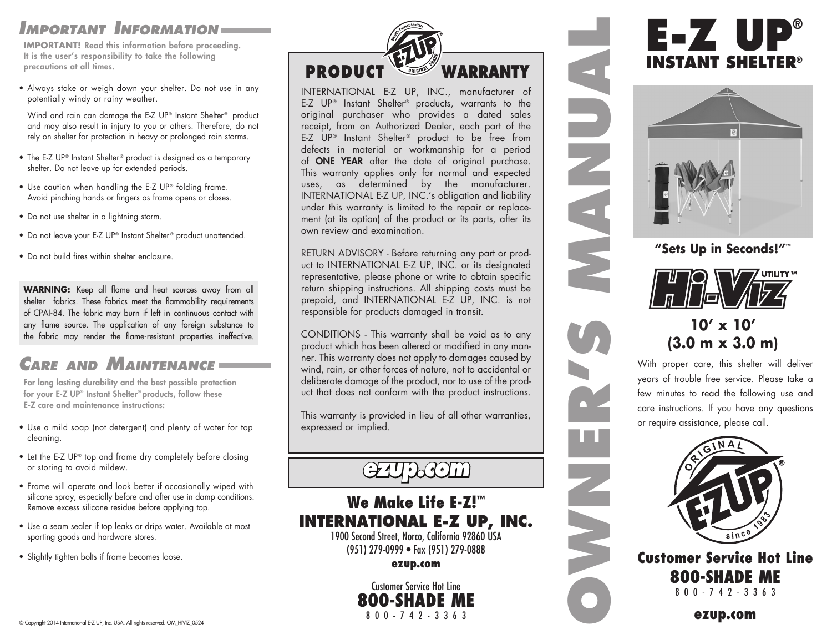#### *Important Information*

**IMPORTANT!** Read this information before proceeding. It is the user's responsibility to take the following precautions at all times.

• Always stake or weigh down your shelter. Do not use in any potentially windy or rainy weather.

Wind and rain can damage the E-Z UP® Instant Shelter® product and may also result in injury to you or others. Therefore, do not rely on shelter for protection in heavy or prolonged rain storms.

- The E-Z UP® Instant Shelter® product is designed as a temporary shelter. Do not leave up for extended periods.
- Use caution when handling the E-Z UP® folding frame. Avoid pinching hands or fingers as frame opens or closes.
- Do not use shelter in a lightning storm.
- Do not leave your E-Z UP® Instant Shelter® product unattended.
- Do not build fires within shelter enclosure.

**WARNING:** Keep all flame and heat sources away from all shelter fabrics. These fabrics meet the flammability requirements of CPAI-84. The fabric may burn if left in continuous contact with any flame source. The application of any foreign substance to the fabric may render the flame-resistant properties ineffective.

### *Care and Maintenance*

For long lasting durability and the best possible protection for your E-Z UP® Instant Shelter® products, follow these E-Z care and maintenance instructions:

- Use a mild soap (not detergent) and plenty of water for top cleaning.
- Let the E-Z UP<sup>®</sup> top and frame dry completely before closing or storing to avoid mildew.
- Frame will operate and look better if occasionally wiped with silicone spray, especially before and after use in damp conditions. Remove excess silicone residue before applying top.
- Use a seam sealer if top leaks or drips water. Available at most sporting goods and hardware stores.
- Slightly tighten bolts if frame becomes loose.



INTERNATIONAL E-Z UP, INC., manufacturer of E-Z UP® Instant Shelter® products, warrants to the original purchaser who provides a dated sales receipt, from an Authorized Dealer, each part of the E-Z UP® Instant Shelter® product to be free from defects in material or workmanship for a period of ONE YEAR after the date of original purchase. This warranty applies only for normal and expected uses, as determined by the manufacturer. INTERNATIONAL E-Z UP, INC.'s obligation and liability under this warranty is limited to the repair or replacement (at its option) of the product or its parts, after its own review and examination.

RETURN ADVISORY - Before returning any part or product to INTERNATIONAL E-Z UP, INC. or its designated representative, please phone or write to obtain specific return shipping instructions. All shipping costs must be prepaid, and INTERNATIONAL E-Z UP, INC. is not responsible for products damaged in transit.

CONDITIONS - This warranty shall be void as to any product which has been altered or modified in any manner. This warranty does not apply to damages caused by wind, rain, or other forces of nature, not to accidental or deliberate damage of the product, nor to use of the product that does not conform with the product instructions.

This warranty is provided in lieu of all other warranties, expressed or implied.

## *ezup.com*

#### We Make Life E-Z! ™ **INTERNATIONAL E-Z UP, INC.**

1900 Second Street, Norco, California 92860 USA (951) 279-0999 • Fax (951) 279-0888

ezup.com

Customer Service Hot Line **800-SHADE** 800-742-3363

# **E-Z UP® INSTANT SHELTER®**



**"Sets Up in Seconds!"™**



#### **10' x 10' (3.0 m x 3.0 m)**

**OWNER'S MANUAL**

UNANA

With proper care, this shelter will deliver years of trouble free service. Please take a few minutes to read the following use and care instructions. If you have any questions or require assistance, please call.



Customer Service Hot Line 800-SHADE ME 800-742-3363